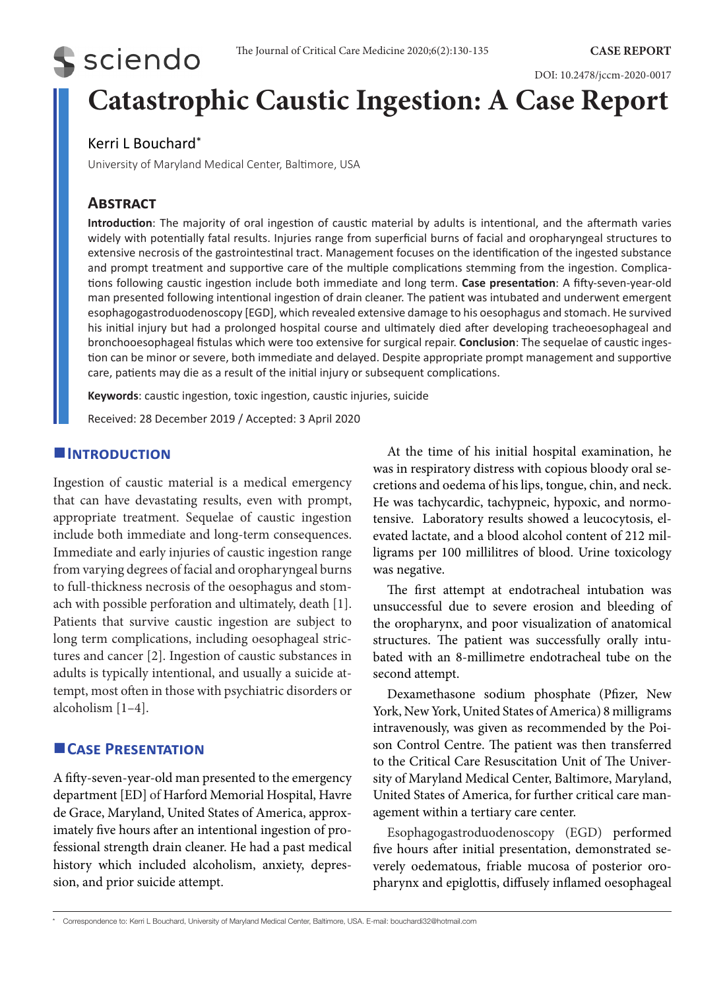# **S** sciendo

DOI: 10.2478/jccm-2020-0017

## **Catastrophic Caustic Ingestion: A Case Report**

## Kerri L Bouchard\*

University of Maryland Medical Center, Baltimore, USA

## **Abstract**

**Introduction**: The majority of oral ingestion of caustic material by adults is intentional, and the aftermath varies widely with potentially fatal results. Injuries range from superficial burns of facial and oropharyngeal structures to extensive necrosis of the gastrointestinal tract. Management focuses on the identification of the ingested substance and prompt treatment and supportive care of the multiple complications stemming from the ingestion. Complications following caustic ingestion include both immediate and long term. **Case presentation**: A fifty-seven-year-old man presented following intentional ingestion of drain cleaner. The patient was intubated and underwent emergent esophagogastroduodenoscopy [EGD], which revealed extensive damage to his oesophagus and stomach. He survived his initial injury but had a prolonged hospital course and ultimately died after developing tracheoesophageal and bronchooesophageal fistulas which were too extensive for surgical repair. **Conclusion**: The sequelae of caustic ingestion can be minor or severe, both immediate and delayed. Despite appropriate prompt management and supportive care, patients may die as a result of the initial injury or subsequent complications.

**Keywords**: caustic ingestion, toxic ingestion, caustic injuries, suicide

Received: 28 December 2019 / Accepted: 3 April 2020

#### **Introduction**

Ingestion of caustic material is a medical emergency that can have devastating results, even with prompt, appropriate treatment. Sequelae of caustic ingestion include both immediate and long-term consequences. Immediate and early injuries of caustic ingestion range from varying degrees of facial and oropharyngeal burns to full-thickness necrosis of the oesophagus and stomach with possible perforation and ultimately, death [1]. Patients that survive caustic ingestion are subject to long term complications, including oesophageal strictures and cancer [2]. Ingestion of caustic substances in adults is typically intentional, and usually a suicide attempt, most often in those with psychiatric disorders or alcoholism [1–4].

#### **Case Presentation**

A fifty-seven-year-old man presented to the emergency department [ED] of Harford Memorial Hospital, Havre de Grace, Maryland, United States of America, approximately five hours after an intentional ingestion of professional strength drain cleaner. He had a past medical history which included alcoholism, anxiety, depression, and prior suicide attempt.

At the time of his initial hospital examination, he was in respiratory distress with copious bloody oral secretions and oedema of his lips, tongue, chin, and neck. He was tachycardic, tachypneic, hypoxic, and normotensive. Laboratory results showed a leucocytosis, elevated lactate, and a blood alcohol content of 212 milligrams per 100 millilitres of blood. Urine toxicology was negative.

The first attempt at endotracheal intubation was unsuccessful due to severe erosion and bleeding of the oropharynx, and poor visualization of anatomical structures. The patient was successfully orally intubated with an 8-millimetre endotracheal tube on the second attempt.

Dexamethasone sodium phosphate (Pfizer, New York, New York, United States of America) 8 milligrams intravenously, was given as recommended by the Poison Control Centre. The patient was then transferred to the Critical Care Resuscitation Unit of The University of Maryland Medical Center, Baltimore, Maryland, United States of America, for further critical care management within a tertiary care center.

Esophagogastroduodenoscopy (EGD) performed five hours after initial presentation, demonstrated severely oedematous, friable mucosa of posterior oropharynx and epiglottis, diffusely inflamed oesophageal

<sup>\*</sup> Correspondence to: Kerri L Bouchard, University of Maryland Medical Center, Baltimore, USA. E-mail: bouchardi32@hotmail.com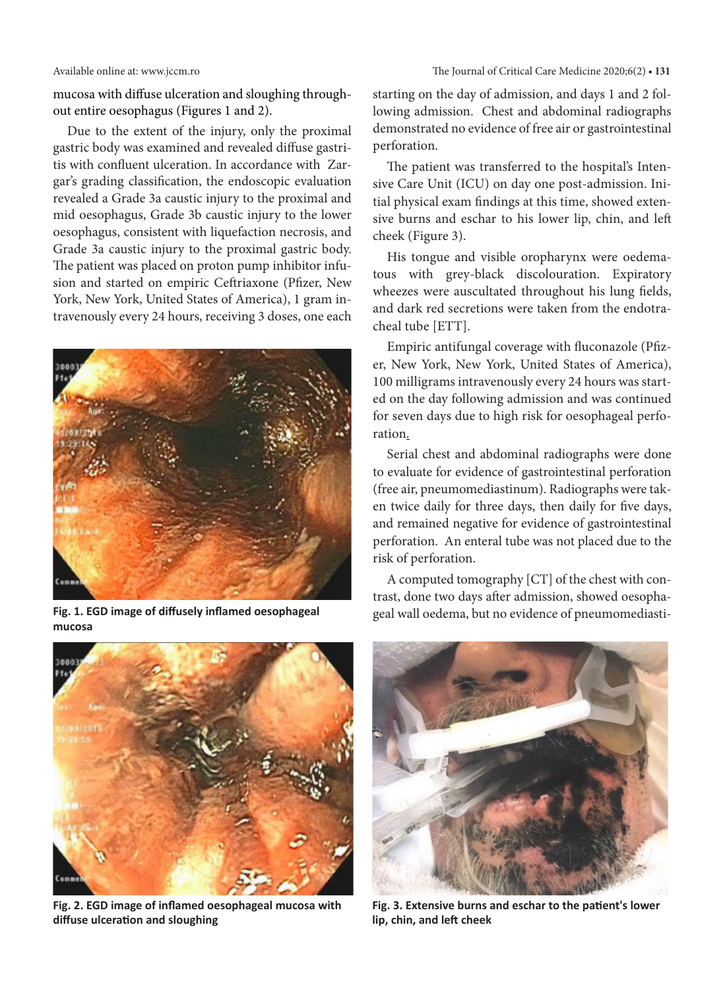mucosa with diffuse ulceration and sloughing throughout entire oesophagus (Figures 1 and 2).

Due to the extent of the injury, only the proximal gastric body was examined and revealed diffuse gastritis with confluent ulceration. In accordance with Zargar's grading classification, the endoscopic evaluation revealed a Grade 3a caustic injury to the proximal and mid oesophagus, Grade 3b caustic injury to the lower oesophagus, consistent with liquefaction necrosis, and Grade 3a caustic injury to the proximal gastric body. The patient was placed on proton pump inhibitor infusion and started on empiric Ceftriaxone (Pfizer, New York, New York, United States of America), 1 gram intravenously every 24 hours, receiving 3 doses, one each



**Fig. 1. EGD image of diffusely inflamed oesophageal** geal wall oedema, but no evidence of pneumomediasti- **mucosa**



**Fig. 2. EGD image of inflamed oesophageal mucosa with diffuse ulceration and sloughing**

starting on the day of admission, and days 1 and 2 following admission. Chest and abdominal radiographs demonstrated no evidence of free air or gastrointestinal perforation.

The patient was transferred to the hospital's Intensive Care Unit (ICU) on day one post-admission. Initial physical exam findings at this time, showed extensive burns and eschar to his lower lip, chin, and left cheek (Figure 3).

His tongue and visible oropharynx were oedematous with grey-black discolouration. Expiratory wheezes were auscultated throughout his lung fields, and dark red secretions were taken from the endotracheal tube [ETT].

Empiric antifungal coverage with fluconazole (Pfizer, New York, New York, United States of America), 100 milligrams intravenously every 24 hours was started on the day following admission and was continued for seven days due to high risk for oesophageal perforation.

Serial chest and abdominal radiographs were done to evaluate for evidence of gastrointestinal perforation (free air, pneumomediastinum). Radiographs were taken twice daily for three days, then daily for five days, and remained negative for evidence of gastrointestinal perforation. An enteral tube was not placed due to the risk of perforation.

A computed tomography [CT] of the chest with contrast, done two days after admission, showed oesopha-



**Fig. 3. Extensive burns and eschar to the patient's lower lip, chin, and left cheek**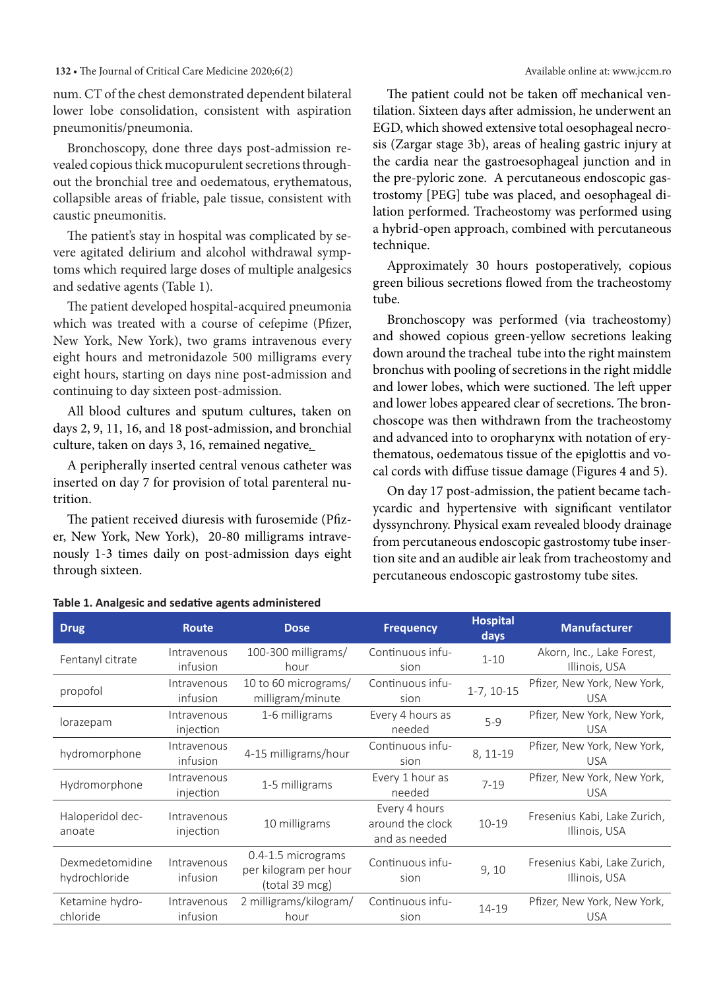#### **132 •** The Journal of Critical Care Medicine 2020;6(2) Available online at: www.jccm.ro

num. CT of the chest demonstrated dependent bilateral lower lobe consolidation, consistent with aspiration pneumonitis/pneumonia.

Bronchoscopy, done three days post-admission revealed copious thick mucopurulent secretions throughout the bronchial tree and oedematous, erythematous, collapsible areas of friable, pale tissue, consistent with caustic pneumonitis.

The patient's stay in hospital was complicated by severe agitated delirium and alcohol withdrawal symptoms which required large doses of multiple analgesics and sedative agents (Table 1).

The patient developed hospital-acquired pneumonia which was treated with a course of cefepime (Pfizer, New York, New York), two grams intravenous every eight hours and metronidazole 500 milligrams every eight hours, starting on days nine post-admission and continuing to day sixteen post-admission.

All blood cultures and sputum cultures, taken on days 2, 9, 11, 16, and 18 post-admission, and bronchial culture, taken on days 3, 16, remained negative*.* 

A peripherally inserted central venous catheter was inserted on day 7 for provision of total parenteral nutrition.

The patient received diuresis with furosemide (Pfizer, New York, New York), 20-80 milligrams intravenously 1-3 times daily on post-admission days eight through sixteen.

The patient could not be taken off mechanical ventilation. Sixteen days after admission, he underwent an EGD, which showed extensive total oesophageal necrosis (Zargar stage 3b), areas of healing gastric injury at the cardia near the gastroesophageal junction and in the pre-pyloric zone. A percutaneous endoscopic gastrostomy [PEG] tube was placed, and oesophageal dilation performed. Tracheostomy was performed using a hybrid-open approach, combined with percutaneous technique.

Approximately 30 hours postoperatively, copious green bilious secretions flowed from the tracheostomy tube.

Bronchoscopy was performed (via tracheostomy) and showed copious green-yellow secretions leaking down around the tracheal tube into the right mainstem bronchus with pooling of secretions in the right middle and lower lobes, which were suctioned. The left upper and lower lobes appeared clear of secretions. The bronchoscope was then withdrawn from the tracheostomy and advanced into to oropharynx with notation of erythematous, oedematous tissue of the epiglottis and vocal cords with diffuse tissue damage (Figures 4 and 5).

On day 17 post-admission, the patient became tachycardic and hypertensive with significant ventilator dyssynchrony. Physical exam revealed bloody drainage from percutaneous endoscopic gastrostomy tube insertion site and an audible air leak from tracheostomy and percutaneous endoscopic gastrostomy tube sites.

| <b>Drug</b>                      | <b>Route</b>             | <b>Dose</b>                                                   | <b>Frequency</b>                                   | <b>Hospital</b><br>days | <b>Manufacturer</b>                           |
|----------------------------------|--------------------------|---------------------------------------------------------------|----------------------------------------------------|-------------------------|-----------------------------------------------|
| Fentanyl citrate                 | Intravenous<br>infusion  | 100-300 milligrams/<br>hour                                   | Continuous infu-<br>sion                           | $1 - 10$                | Akorn, Inc., Lake Forest,<br>Illinois, USA    |
| propofol                         | Intravenous<br>infusion  | 10 to 60 micrograms/<br>milligram/minute                      | Continuous infu-<br>sion                           | $1-7, 10-15$            | Pfizer, New York, New York,<br><b>USA</b>     |
| lorazepam                        | Intravenous<br>injection | 1-6 milligrams                                                | Every 4 hours as<br>needed                         | $5-9$                   | Pfizer, New York, New York,<br><b>USA</b>     |
| hydromorphone                    | Intravenous<br>infusion  | 4-15 milligrams/hour                                          | Continuous infu-<br>sion                           | 8, 11-19                | Pfizer, New York, New York,<br><b>USA</b>     |
| Hydromorphone                    | Intravenous<br>injection | 1-5 milligrams                                                | Every 1 hour as<br>needed                          | $7 - 19$                | Pfizer, New York, New York,<br><b>USA</b>     |
| Haloperidol dec-<br>anoate       | Intravenous<br>injection | 10 milligrams                                                 | Every 4 hours<br>around the clock<br>and as needed | $10 - 19$               | Fresenius Kabi, Lake Zurich,<br>Illinois, USA |
| Dexmedetomidine<br>hydrochloride | Intravenous<br>infusion  | 0.4-1.5 micrograms<br>per kilogram per hour<br>(total 39 mcg) | Continuous infu-<br>sion                           | 9,10                    | Fresenius Kabi, Lake Zurich,<br>Illinois, USA |
| Ketamine hydro-<br>chloride      | Intravenous<br>infusion  | 2 milligrams/kilogram/<br>hour                                | Continuous infu-<br>sion                           | 14-19                   | Pfizer, New York, New York,<br><b>USA</b>     |

#### **Table 1. Analgesic and sedative agents administered**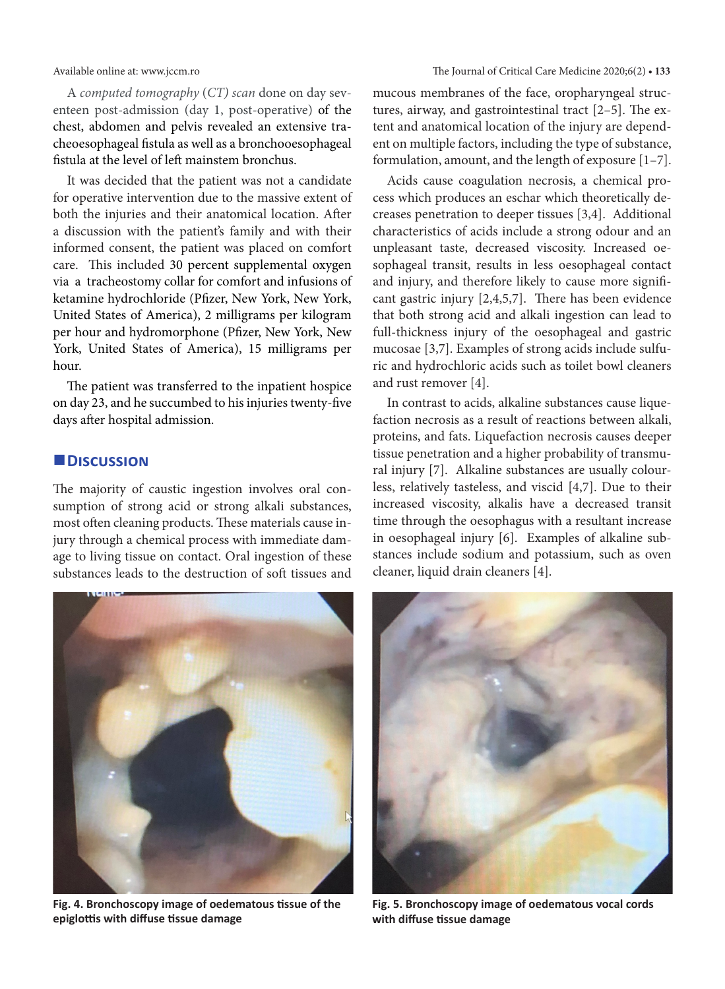A *computed tomography* (*CT) scan* done on day seventeen post-admission (day 1, post-operative) of the chest, abdomen and pelvis revealed an extensive tracheoesophageal fistula as well as a bronchooesophageal fistula at the level of left mainstem bronchus.

It was decided that the patient was not a candidate for operative intervention due to the massive extent of both the injuries and their anatomical location. After a discussion with the patient's family and with their informed consent, the patient was placed on comfort care. This included 30 percent supplemental oxygen via a tracheostomy collar for comfort and infusions of ketamine hydrochloride (Pfizer, New York, New York, United States of America), 2 milligrams per kilogram per hour and hydromorphone (Pfizer, New York, New York, United States of America), 15 milligrams per hour.

The patient was transferred to the inpatient hospice on day 23, and he succumbed to his injuries twenty-five days after hospital admission.

#### **Discussion**

The majority of caustic ingestion involves oral consumption of strong acid or strong alkali substances, most often cleaning products. These materials cause injury through a chemical process with immediate damage to living tissue on contact. Oral ingestion of these substances leads to the destruction of soft tissues and



**Fig. 4. Bronchoscopy image of oedematous tissue of the epiglottis with diffuse tissue damage**

mucous membranes of the face, oropharyngeal structures, airway, and gastrointestinal tract [2–5]. The extent and anatomical location of the injury are dependent on multiple factors, including the type of substance, formulation, amount, and the length of exposure [1–7].

Acids cause coagulation necrosis, a chemical process which produces an eschar which theoretically decreases penetration to deeper tissues [3,4]. Additional characteristics of acids include a strong odour and an unpleasant taste, decreased viscosity. Increased oesophageal transit, results in less oesophageal contact and injury, and therefore likely to cause more significant gastric injury [2,4,5,7]. There has been evidence that both strong acid and alkali ingestion can lead to full-thickness injury of the oesophageal and gastric mucosae [3,7]. Examples of strong acids include sulfuric and hydrochloric acids such as toilet bowl cleaners and rust remover [4].

In contrast to acids, alkaline substances cause liquefaction necrosis as a result of reactions between alkali, proteins, and fats. Liquefaction necrosis causes deeper tissue penetration and a higher probability of transmural injury [7]. Alkaline substances are usually colourless, relatively tasteless, and viscid [4,7]. Due to their increased viscosity, alkalis have a decreased transit time through the oesophagus with a resultant increase in oesophageal injury [6]. Examples of alkaline substances include sodium and potassium, such as oven cleaner, liquid drain cleaners [4].



**Fig. 5. Bronchoscopy image of oedematous vocal cords with diffuse tissue damage**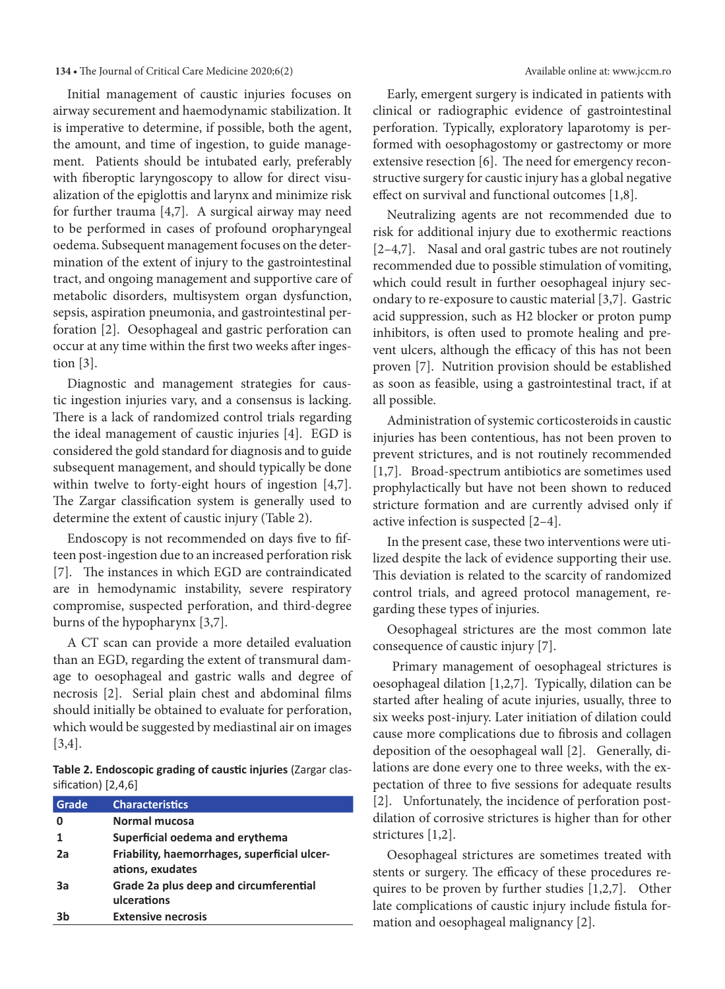#### **134 • The Journal of Critical Care Medicine 2020;6(2)** Available online at: www.jccm.ro

Initial management of caustic injuries focuses on airway securement and haemodynamic stabilization. It is imperative to determine, if possible, both the agent, the amount, and time of ingestion, to guide management. Patients should be intubated early, preferably with fiberoptic laryngoscopy to allow for direct visualization of the epiglottis and larynx and minimize risk for further trauma [4,7]. A surgical airway may need to be performed in cases of profound oropharyngeal oedema. Subsequent management focuses on the determination of the extent of injury to the gastrointestinal tract, and ongoing management and supportive care of metabolic disorders, multisystem organ dysfunction, sepsis, aspiration pneumonia, and gastrointestinal perforation [2]. Oesophageal and gastric perforation can occur at any time within the first two weeks after ingestion [3].

Diagnostic and management strategies for caustic ingestion injuries vary, and a consensus is lacking. There is a lack of randomized control trials regarding the ideal management of caustic injuries [4]. EGD is considered the gold standard for diagnosis and to guide subsequent management, and should typically be done within twelve to forty-eight hours of ingestion [4,7]. The Zargar classification system is generally used to determine the extent of caustic injury (Table 2).

Endoscopy is not recommended on days five to fifteen post-ingestion due to an increased perforation risk [7]. The instances in which EGD are contraindicated are in hemodynamic instability, severe respiratory compromise, suspected perforation, and third-degree burns of the hypopharynx [3,7].

A CT scan can provide a more detailed evaluation than an EGD, regarding the extent of transmural damage to oesophageal and gastric walls and degree of necrosis [2]. Serial plain chest and abdominal films should initially be obtained to evaluate for perforation, which would be suggested by mediastinal air on images [3,4].

**Table 2. Endoscopic grading of caustic injuries** (Zargar classification) [2,4,6]

| Grade | <b>Characteristics</b>                                           |
|-------|------------------------------------------------------------------|
|       | Normal mucosa                                                    |
|       | Superficial oedema and erythema                                  |
| 2a    | Friability, haemorrhages, superficial ulcer-<br>ations, exudates |
| За    | Grade 2a plus deep and circumferential<br>ulcerations            |
| ٦h    | <b>Extensive necrosis</b>                                        |

Early, emergent surgery is indicated in patients with clinical or radiographic evidence of gastrointestinal perforation. Typically, exploratory laparotomy is performed with oesophagostomy or gastrectomy or more extensive resection [6]. The need for emergency reconstructive surgery for caustic injury has a global negative effect on survival and functional outcomes [1,8].

Neutralizing agents are not recommended due to risk for additional injury due to exothermic reactions [2–4,7]. Nasal and oral gastric tubes are not routinely recommended due to possible stimulation of vomiting, which could result in further oesophageal injury secondary to re-exposure to caustic material [3,7]. Gastric acid suppression, such as H2 blocker or proton pump inhibitors, is often used to promote healing and prevent ulcers, although the efficacy of this has not been proven [7]. Nutrition provision should be established as soon as feasible, using a gastrointestinal tract, if at all possible.

Administration of systemic corticosteroids in caustic injuries has been contentious, has not been proven to prevent strictures, and is not routinely recommended [1,7]. Broad-spectrum antibiotics are sometimes used prophylactically but have not been shown to reduced stricture formation and are currently advised only if active infection is suspected [2–4].

In the present case, these two interventions were utilized despite the lack of evidence supporting their use. This deviation is related to the scarcity of randomized control trials, and agreed protocol management, regarding these types of injuries.

Oesophageal strictures are the most common late consequence of caustic injury [7].

 Primary management of oesophageal strictures is oesophageal dilation [1,2,7]. Typically, dilation can be started after healing of acute injuries, usually, three to six weeks post-injury. Later initiation of dilation could cause more complications due to fibrosis and collagen deposition of the oesophageal wall [2]. Generally, dilations are done every one to three weeks, with the expectation of three to five sessions for adequate results [2]. Unfortunately, the incidence of perforation postdilation of corrosive strictures is higher than for other strictures [1,2].

Oesophageal strictures are sometimes treated with stents or surgery. The efficacy of these procedures requires to be proven by further studies [1,2,7]. Other late complications of caustic injury include fistula formation and oesophageal malignancy [2].